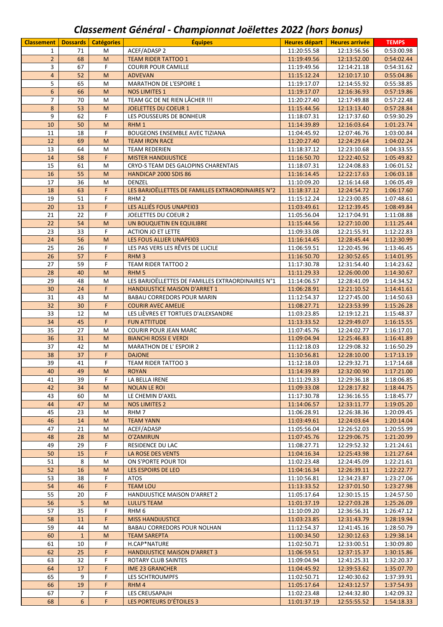## *Classement Général ‐ Championnat Joëlettes 2022 (hors bonus)*

| <b>Classement</b> | Dossards       | <b>Catégories</b>                                                                                               | <b>Equipes</b>                                                    | <b>Heures départ</b>       | <b>Heures arrivée</b>      | <b>TEMPS</b>             |
|-------------------|----------------|-----------------------------------------------------------------------------------------------------------------|-------------------------------------------------------------------|----------------------------|----------------------------|--------------------------|
| $\mathbf{1}$      | 71             | M                                                                                                               | ACEF/ADASP 2                                                      | 11:20:55.58                | 12:13:56.56                | 0:53:00.98               |
| $\overline{2}$    | 68             | M                                                                                                               | <b>TEAM RIDER TATTOO 1</b>                                        | 11:19:49.56                | 12:13:52.00                | 0:54:02.44               |
| 3                 | 67             | F.                                                                                                              | <b>COURIR POUR CAMILLE</b>                                        | 11:19:49.56                | 12:14:21.18                | 0:54:31.62               |
| $\overline{4}$    | 52             | M                                                                                                               | <b>ADVEVAN</b>                                                    | 11:15:12.24                | 12:10:17.10                | 0:55:04.86               |
| 5                 | 65             | M                                                                                                               | MARATHON DE L'ESPOIRE 1                                           | 11:19:17.07                | 12:14:55.92                | 0:55:38.85               |
| $6\phantom{1}$    | 66             | M                                                                                                               | <b>NOS LIMITES 1</b>                                              | 11:19:17.07                | 12:16:36.93                | 0:57:19.86               |
| 7                 | 70             | М                                                                                                               | TEAM GC DE NE RIEN LÂCHER !!!                                     | 11:20:27.40                | 12:17:49.88                | 0:57:22.48               |
| 8                 | 53             | M                                                                                                               | <b>JOELETTES DU COEUR 1</b>                                       | 11:15:44.56                | 12:13:13.40                | 0:57:28.84               |
| 9                 | 62             | F.                                                                                                              | LES POUSSEURS DE BONHEUR                                          | 11:18:07.31                | 12:17:37.60                | 0:59:30.29               |
| 10                | 50             | M                                                                                                               | RHM <sub>1</sub>                                                  | 11:14:39.89                | 12:16:03.64                | 1:01:23.74               |
| 11                | 18             | F                                                                                                               | BOUGEONS ENSEMBLE AVEC TIZIANA                                    | 11:04:45.92                | 12:07:46.76                | 1:03:00.84               |
| 12                | 69             | M                                                                                                               | <b>TEAM IRON RACE</b>                                             | 11:20:27.40                | 12:24:29.64                | 1:04:02.24               |
| 13                | 64             | M                                                                                                               | <b>TEAM REDERIEN</b>                                              | 11:18:37.12                | 12:23:10.68                | 1:04:33.55               |
| $14\,$<br>15      | 58<br>61       | F.<br>M                                                                                                         | <b>MISTER HANDIJUSTICE</b><br>CRYO-S TEAM DES GALOPINS CHARENTAIS | 11:16:50.70<br>11:18:07.31 | 12:22:40.52<br>12:24:08.83 | 1:05:49.82               |
| 16                | 55             | M                                                                                                               | HANDICAP 2000 SDIS 86                                             | 11:16:14.45                | 12:22:17.63                | 1:06:01.52<br>1:06:03.18 |
| 17                | 36             | M                                                                                                               | DENZEL                                                            | 11:10:09.20                | 12:16:14.68                | 1:06:05.49               |
| 18                | 63             | F.                                                                                                              | LES BARJOËLLETTES DE FAMILLES EXTRAORDINAIRES N°2                 | 11:18:37.12                | 12:24:54.72                | 1:06:17.60               |
| 19                | 51             | F                                                                                                               | RHM <sub>2</sub>                                                  | 11:15:12.24                | 12:23:00.85                | 1:07:48.61               |
| 20                | 13             | F.                                                                                                              | LES ALLIÉS FOUS UNAPEI03                                          | 11:03:49.61                | 12:12:39.45                | 1:08:49.84               |
| 21                | 22             | F.                                                                                                              | JOELETTES DU COEUR 2                                              | 11:05:56.04                | 12:17:04.91                | 1:11:08.88               |
| 22                | 54             | M                                                                                                               | UN BOUQUETIN EN EQUILIBRE                                         | 11:15:44.56                | 12:27:10.00                | 1:11:25.44               |
| 23                | 33             | F.                                                                                                              | <b>ACTION JO ET LETTE</b>                                         | 11:09:33.08                | 12:21:55.91                | 1:12:22.83               |
| 24                | 56             | M                                                                                                               | LES FOUS ALLIER UNAPEI03                                          | 11:16:14.45                | 12:28:45.44                | 1:12:30.99               |
| 25                | 26             | F.                                                                                                              | LES PAS VERS LES RÊVES DE LUCILE                                  | 11:06:59.51                | 12:20:45.96                | 1:13:46.45               |
| 26                | 57             | F.                                                                                                              | RHM <sub>3</sub>                                                  | 11:16:50.70                | 12:30:52.65                | 1:14:01.95               |
| 27                | 59             | F                                                                                                               | TEAM RIDER TATTOO 2                                               | 11:17:30.78                | 12:31:54.40                | 1:14:23.62               |
| 28                | 40             | M                                                                                                               | RHM <sub>5</sub>                                                  | 11:11:29.33                | 12:26:00.00                | 1:14:30.67               |
| 29                | 48             | M                                                                                                               | LES BARJOËLLETTES DE FAMILLES EXTRAORDINAIRES N°1                 | 11:14:06.57                | 12:28:41.09                | 1:14:34.52               |
| 30                | 24             | F                                                                                                               | HANDIJUSTICE MAISON D'ARRET 1                                     | 11:06:28.91                | 12:21:10.52                | 1:14:41.61               |
| 31                | 43             | M                                                                                                               | <b>BABAU CORREDORS POUR MARIN</b>                                 | 11:12:54.37                | 12:27:45.00                | 1:14:50.63               |
| 32                | 30             | F.                                                                                                              | <b>COURIR AVEC AMELIE</b>                                         | 11:08:27.71                | 12:23:53.99                | 1:15:26.28               |
| 33                | 12             | M                                                                                                               | LES LIÈVRES ET TORTUES D'ALEXSANDRE                               | 11:03:23.85                | 12:19:12.21                | 1:15:48.37               |
| 34                | 45             | F.                                                                                                              | <b>FUN ATTITUDE</b>                                               | 11:13:33.52                | 12:29:49.07                | 1:16:15.55               |
| 35                | 27             | M                                                                                                               | <b>COURIR POUR JEAN MARC</b>                                      | 11:07:45.76                | 12:24:02.77                | 1:16:17.01               |
| 36                | 31             | M                                                                                                               | <b>BIANCHI ROSSI E VERDI</b>                                      | 11:09:04.94                | 12:25:46.83                | 1:16:41.89               |
| 37                | 42             | M                                                                                                               | MARATHON DE L'ESPOIR 2                                            | 11:12:18.03                | 12:29:08.32                | 1:16:50.29               |
| 38                | 37             | F.                                                                                                              | <b>DAJONE</b>                                                     | 11:10:56.81                | 12:28:10.00                | 1:17:13.19               |
| 39<br>40          | 41<br>49       | F<br>$\mathsf{M}% _{T}=\mathsf{M}_{T}\!\left( a,b\right) ,\ \mathsf{M}_{T}=\mathsf{M}_{T}\!\left( a,b\right) ,$ | <b>TEAM RIDER TATTOO 3</b><br><b>ROYAN</b>                        | 11:12:18.03<br>11:14:39.89 | 12:29:32.71<br>12:32:00.90 | 1:17:14.68<br>1:17:21.00 |
| 41                | 39             | F.                                                                                                              | LA BELLA IRENE                                                    | 11:11:29.33                | 12:29:36.18                | 1:18:06.85               |
| 42                | 34             | M                                                                                                               | <b>NOLAN LE ROI</b>                                               | 11:09:33.08                | 12:28:17.82                | 1:18:44.75               |
| 43                | 60             | М                                                                                                               | LE CHEMIN D'AXEL                                                  | 11:17:30.78                | 12:36:16.55                | 1:18:45.77               |
| 44                | 47             | M                                                                                                               | <b>NOS LIMITES 2</b>                                              | 11:14:06.57                | 12:33:11.77                | 1:19:05.20               |
| 45                | 23             | м                                                                                                               | RHM <sub>7</sub>                                                  | 11:06:28.91                | 12:26:38.36                | 1:20:09.45               |
| 46                | 14             | M                                                                                                               | <b>TEAM YANN</b>                                                  | 11:03:49.61                | 12:24:03.64                | 1:20:14.04               |
| 47                | 21             | M                                                                                                               | ACEF/ADASP                                                        | 11:05:56.04                | 12:26:52.03                | 1:20:55.99               |
| 48                | 28             | M                                                                                                               | <b>O'ZAMIRUN</b>                                                  | 11:07:45.76                | 12:29:06.75                | 1:21:20.99               |
| 49                | 29             | F                                                                                                               | RESIDENCE DU LAC                                                  | 11:08:27.71                | 12:29:52.32                | 1:21:24.61               |
| 50                | 15             | F                                                                                                               | <b>LA ROSE DES VENTS</b>                                          | 11:04:16.34                | 12:25:43.98                | 1:21:27.64               |
| 51                | 8              | М                                                                                                               | ON S'PORTE POUR TOI                                               | 11:02:23.48                | 12:24:45.09                | 1:22:21.61               |
| 52                | 16             | M                                                                                                               | LES ESPOIRS DE LEO                                                | 11:04:16.34                | 12:26:39.11                | 1:22:22.77               |
| 53                | 38             | F.                                                                                                              | ATOS                                                              | 11:10:56.81                | 12:34:23.87                | 1:23:27.06               |
| 54                | 46             | F.                                                                                                              | <b>TEAM LOU</b>                                                   | 11:13:33.52                | 12:37:01.50                | 1:23:27.98               |
| 55                | 20             | F                                                                                                               | HANDIJUSTICE MAISON D'ARRET 2                                     | 11:05:17.64                | 12:30:15.15                | 1:24:57.50               |
| 56                | 5              | M                                                                                                               | <b>LULU'S TEAM</b>                                                | 11:01:37.19                | 12:27:03.28                | 1:25:26.09               |
| 57                | 35             | F                                                                                                               | RHM <sub>6</sub>                                                  | 11:10:09.20                | 12:36:56.31                | 1:26:47.12               |
| 58                | 11             | F                                                                                                               | <b>MISS HANDIJUSTICE</b>                                          | 11:03:23.85                | 12:31:43.79                | 1:28:19.94               |
| 59                | 44             | M                                                                                                               | BABAU CORREDORS POUR NOLHAN                                       | 11:12:54.37                | 12:41:45.16                | 1:28:50.79               |
| 60                | $\mathbf{1}$   | M                                                                                                               | <b>TEAM SAREPTA</b>                                               | 11:00:34.50                | 12:30:12.63                | 1:29:38.14               |
| 61<br>62          | 10<br>25       | F<br>F.                                                                                                         | H.CAP*NATURE<br><b>HANDIJUSTICE MAISON D'ARRET 3</b>              | 11:02:50.71<br>11:06:59.51 | 12:33:00.51<br>12:37:15.37 | 1:30:09.80<br>1:30:15.86 |
| 63                | 32             | F                                                                                                               | ROTARY CLUB SAINTES                                               | 11:09:04.94                | 12:41:25.31                | 1:32:20.37               |
| 64                | 17             | F                                                                                                               | <b>IME 23 GRANCHER</b>                                            | 11:04:45.92                | 12:39:53.62                | 1:35:07.70               |
| 65                | 9              | F.                                                                                                              | LES SCHTROUMPFS                                                   | 11:02:50.71                | 12:40:30.62                | 1:37:39.91               |
| 66                | 19             | F.                                                                                                              | RHM4                                                              | 11:05:17.64                | 12:43:12.57                | 1:37:54.93               |
| 67                | $\overline{7}$ | F                                                                                                               | LES CREUSAPAJH                                                    | 11:02:23.48                | 12:44:32.80                | 1:42:09.32               |
| 68                | 6              | F.                                                                                                              | LES PORTEURS D'ÉTOILES 3                                          | 11:01:37.19                | 12:55:55.52                | 1:54:18.33               |